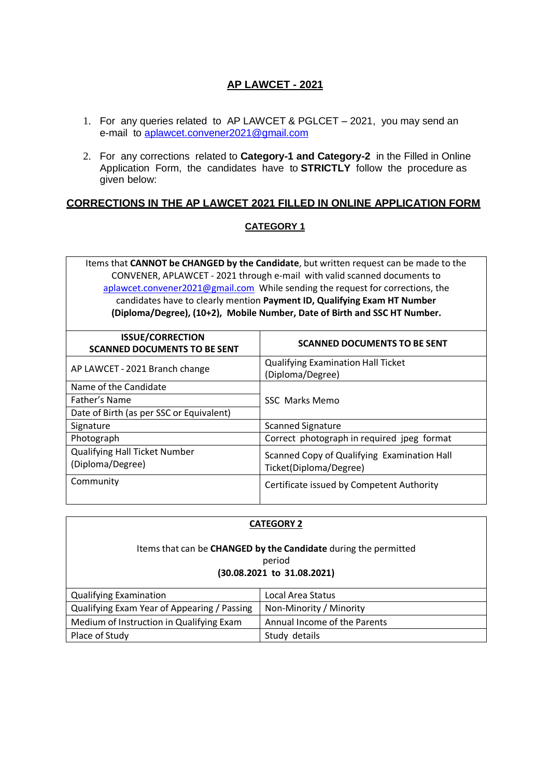# **AP LAWCET - 2021**

- 1. For any queries related to AP LAWCET & PGLCET 2021, you may send an e-mail to [aplawcet.convener2021@gmail.com](mailto:%20aplawcet.convener2021@gmail.com)
- 2. For any corrections related to **Category-1 and Category-2** in the Filled in Online Application Form, the candidates have to **STRICTLY** follow the procedure as given below:

### **CORRECTIONS IN THE AP LAWCET 2021 FILLED IN ONLINE APPLICATION FORM**

### **CATEGORY 1**

Items that **CANNOT be CHANGED by the Candidate**, but written request can be made to the CONVENER, APLAWCET - 2021 through e-mail with valid scanned documents to [aplawcet.convener2021@gmail.com](mailto:aplawcet.convener2021@gmail.com) While sending the request for corrections, the candidates have to clearly mention **Payment ID, Qualifying Exam HT Number (Diploma/Degree), (10+2), Mobile Number, Date of Birth and SSC HT Number.**

| <b>ISSUE/CORRECTION</b><br><b>SCANNED DOCUMENTS TO BE SENT</b> | <b>SCANNED DOCUMENTS TO BE SENT</b>                                   |
|----------------------------------------------------------------|-----------------------------------------------------------------------|
| AP LAWCET - 2021 Branch change                                 | <b>Qualifying Examination Hall Ticket</b><br>(Diploma/Degree)         |
| Name of the Candidate                                          |                                                                       |
| Father's Name                                                  | <b>SSC</b> Marks Memo                                                 |
| Date of Birth (as per SSC or Equivalent)                       |                                                                       |
| Signature                                                      | <b>Scanned Signature</b>                                              |
| Photograph                                                     | Correct photograph in required jpeg format                            |
| <b>Qualifying Hall Ticket Number</b><br>(Diploma/Degree)       | Scanned Copy of Qualifying Examination Hall<br>Ticket(Diploma/Degree) |
| Community                                                      | Certificate issued by Competent Authority                             |

#### **CATEGORY 2**

#### Items that can be **CHANGED by the Candidate** during the permitted period

#### **(30.08.2021 to 31.08.2021)**

| <b>Qualifying Examination</b>               | Local Area Status            |
|---------------------------------------------|------------------------------|
| Qualifying Exam Year of Appearing / Passing | Non-Minority / Minority      |
| Medium of Instruction in Qualifying Exam    | Annual Income of the Parents |
| Place of Study                              | Study details                |